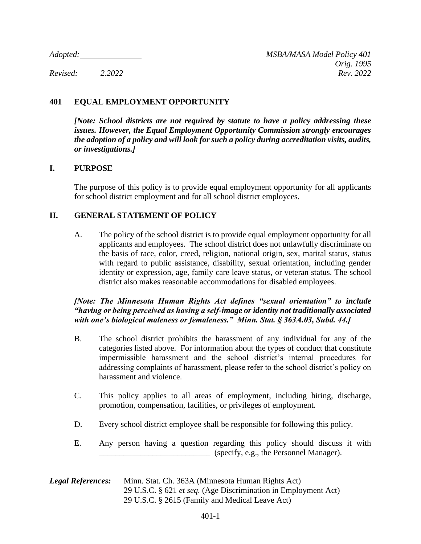# **401 EQUAL EMPLOYMENT OPPORTUNITY**

*[Note: School districts are not required by statute to have a policy addressing these issues. However, the Equal Employment Opportunity Commission strongly encourages the adoption of a policy and will look for such a policy during accreditation visits, audits, or investigations.]*

### **I. PURPOSE**

The purpose of this policy is to provide equal employment opportunity for all applicants for school district employment and for all school district employees.

# **II. GENERAL STATEMENT OF POLICY**

A. The policy of the school district is to provide equal employment opportunity for all applicants and employees. The school district does not unlawfully discriminate on the basis of race, color, creed, religion, national origin, sex, marital status, status with regard to public assistance, disability, sexual orientation, including gender identity or expression, age, family care leave status, or veteran status. The school district also makes reasonable accommodations for disabled employees.

### *[Note: The Minnesota Human Rights Act defines "sexual orientation" to include "having or being perceived as having a self-image or identity not traditionally associated with one's biological maleness or femaleness." Minn. Stat. § 363A.03, Subd. 44.]*

- B. The school district prohibits the harassment of any individual for any of the categories listed above. For information about the types of conduct that constitute impermissible harassment and the school district's internal procedures for addressing complaints of harassment, please refer to the school district's policy on harassment and violence.
- C. This policy applies to all areas of employment, including hiring, discharge, promotion, compensation, facilities, or privileges of employment.
- D. Every school district employee shall be responsible for following this policy.
- E. Any person having a question regarding this policy should discuss it with \_\_\_\_\_\_\_\_\_\_\_\_\_\_\_\_\_\_\_\_\_\_\_\_\_\_\_ (specify, e.g., the Personnel Manager).

#### *Legal References:* Minn. Stat. Ch. 363A (Minnesota Human Rights Act) 29 U.S.C. § 621 *et seq.* (Age Discrimination in Employment Act) 29 U.S.C. § 2615 (Family and Medical Leave Act)